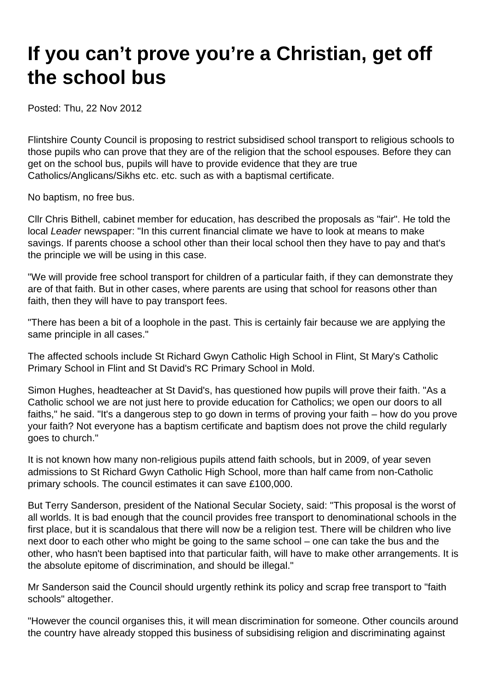## **If you can't prove you're a Christian, get off the school bus**

Posted: Thu, 22 Nov 2012

Flintshire County Council is proposing to restrict subsidised school transport to religious schools to those pupils who can prove that they are of the religion that the school espouses. Before they can get on the school bus, pupils will have to provide evidence that they are true Catholics/Anglicans/Sikhs etc. etc. such as with a baptismal certificate.

No baptism, no free bus.

Cllr Chris Bithell, cabinet member for education, has described the proposals as "fair". He told the local Leader newspaper: "In this current financial climate we have to look at means to make savings. If parents choose a school other than their local school then they have to pay and that's the principle we will be using in this case.

"We will provide free school transport for children of a particular faith, if they can demonstrate they are of that faith. But in other cases, where parents are using that school for reasons other than faith, then they will have to pay transport fees.

"There has been a bit of a loophole in the past. This is certainly fair because we are applying the same principle in all cases."

The affected schools include St Richard Gwyn Catholic High School in Flint, St Mary's Catholic Primary School in Flint and St David's RC Primary School in Mold.

Simon Hughes, headteacher at St David's, has questioned how pupils will prove their faith. "As a Catholic school we are not just here to provide education for Catholics; we open our doors to all faiths," he said. "It's a dangerous step to go down in terms of proving your faith – how do you prove your faith? Not everyone has a baptism certificate and baptism does not prove the child regularly goes to church."

It is not known how many non-religious pupils attend faith schools, but in 2009, of year seven admissions to St Richard Gwyn Catholic High School, more than half came from non-Catholic primary schools. The council estimates it can save £100,000.

But Terry Sanderson, president of the National Secular Society, said: "This proposal is the worst of all worlds. It is bad enough that the council provides free transport to denominational schools in the first place, but it is scandalous that there will now be a religion test. There will be children who live next door to each other who might be going to the same school – one can take the bus and the other, who hasn't been baptised into that particular faith, will have to make other arrangements. It is the absolute epitome of discrimination, and should be illegal."

Mr Sanderson said the Council should urgently rethink its policy and scrap free transport to "faith schools" altogether.

"However the council organises this, it will mean discrimination for someone. Other councils around the country have already stopped this business of subsidising religion and discriminating against